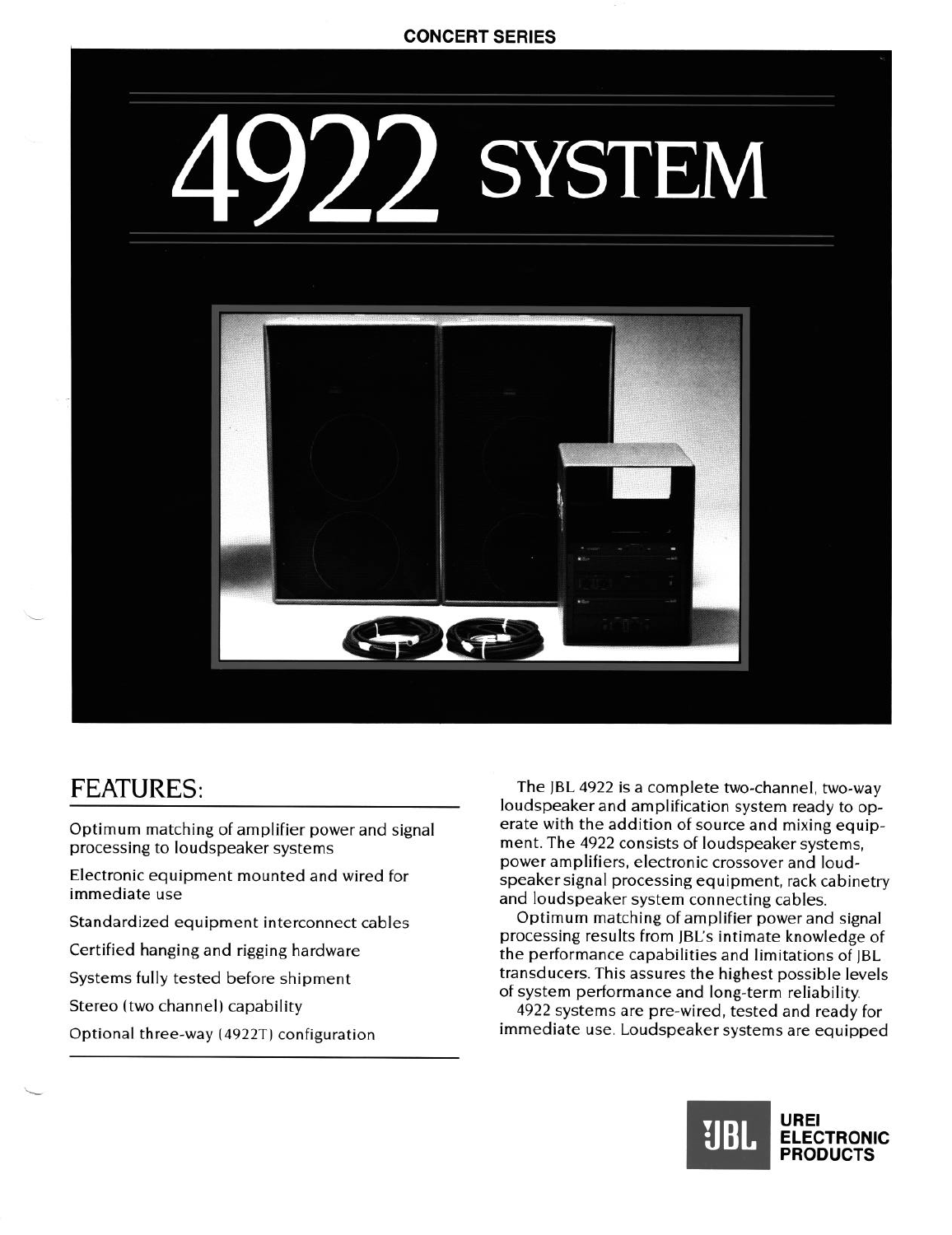## **CONCERT SERIES**





# **FEATURES:**

**Optimum matching of amplifier power and signal processing to loudspeaker systems** 

**Electronic equipment mounted and wired for immediate use** 

**Standardized equipment interconnect cables** 

**Certified hanging and rigging hardware** 

**Systems fully tested before shipment** 

**Stereo (two channel) capability** 

**Optional three-way (4922T) configuration** 

**The JBL 4922 is a complete two-channel, two-way loudspeaker and amplification system ready to operate with the addition of source and mixing equipment. The 4922 consists of loudspeaker systems, power amplifiers, electronic crossover and loudspeaker signal processing equipment, rack cabinetry and loudspeaker system connecting cables.** 

**Optimum matching of amplifier power and signal processing results from JBL's intimate knowledge of the performance capabilities and limitations of JBL transducers. This assures the highest possible levels of system performance and long-term reliability.** 

**4922 systems are pre-wired, tested and ready for immediate use. Loudspeaker systems are equipped**